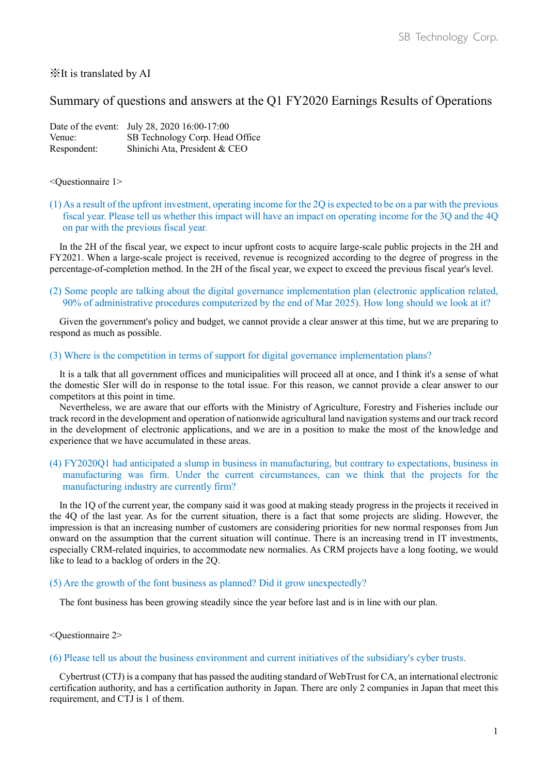# ※It is translated by AI

# Summary of questions and answers at the Q1 FY2020 Earnings Results of Operations

|             | Date of the event: July 28, 2020 16:00-17:00 |
|-------------|----------------------------------------------|
| Venue:      | SB Technology Corp. Head Office              |
| Respondent: | Shinichi Ata, President & CEO                |

#### <Questionnaire 1>

(1) As a result of the upfront investment, operating income for the 2Q is expected to be on a par with the previous fiscal year. Please tell us whether this impact will have an impact on operating income for the 3Q and the 4Q on par with the previous fiscal year.

In the 2H of the fiscal year, we expect to incur upfront costs to acquire large-scale public projects in the 2H and FY2021. When a large-scale project is received, revenue is recognized according to the degree of progress in the percentage-of-completion method. In the 2H of the fiscal year, we expect to exceed the previous fiscal year's level.

(2) Some people are talking about the digital governance implementation plan (electronic application related, 90% of administrative procedures computerized by the end of Mar 2025). How long should we look at it?

Given the government's policy and budget, we cannot provide a clear answer at this time, but we are preparing to respond as much as possible.

### (3) Where is the competition in terms of support for digital governance implementation plans?

It is a talk that all government offices and municipalities will proceed all at once, and I think it's a sense of what the domestic SIer will do in response to the total issue. For this reason, we cannot provide a clear answer to our competitors at this point in time.

Nevertheless, we are aware that our efforts with the Ministry of Agriculture, Forestry and Fisheries include our track record in the development and operation of nationwide agricultural land navigation systems and our track record in the development of electronic applications, and we are in a position to make the most of the knowledge and experience that we have accumulated in these areas.

## (4) FY2020Q1 had anticipated a slump in business in manufacturing, but contrary to expectations, business in manufacturing was firm. Under the current circumstances, can we think that the projects for the manufacturing industry are currently firm?

In the 1Q of the current year, the company said it was good at making steady progress in the projects it received in the 4Q of the last year. As for the current situation, there is a fact that some projects are sliding. However, the impression is that an increasing number of customers are considering priorities for new normal responses from Jun onward on the assumption that the current situation will continue. There is an increasing trend in IT investments, especially CRM-related inquiries, to accommodate new normalies. As CRM projects have a long footing, we would like to lead to a backlog of orders in the 2Q.

#### (5) Are the growth of the font business as planned? Did it grow unexpectedly?

The font business has been growing steadily since the year before last and is in line with our plan.

## <Questionnaire 2>

#### (6) Please tell us about the business environment and current initiatives of the subsidiary's cyber trusts.

Cybertrust (CTJ) is a company that has passed the auditing standard of WebTrust for CA, an international electronic certification authority, and has a certification authority in Japan. There are only 2 companies in Japan that meet this requirement, and CTJ is 1 of them.